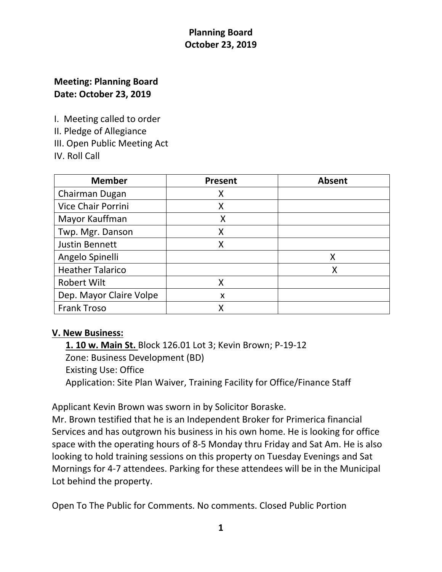# **Meeting: Planning Board Date: October 23, 2019**

I. Meeting called to order

II. Pledge of Allegiance

III. Open Public Meeting Act

IV. Roll Call

| <b>Member</b>             | <b>Present</b> | <b>Absent</b> |
|---------------------------|----------------|---------------|
| Chairman Dugan            | х              |               |
| <b>Vice Chair Porrini</b> | X              |               |
| Mayor Kauffman            | X              |               |
| Twp. Mgr. Danson          | Χ              |               |
| <b>Justin Bennett</b>     | X              |               |
| Angelo Spinelli           |                | X             |
| <b>Heather Talarico</b>   |                | Χ             |
| <b>Robert Wilt</b>        | X              |               |
| Dep. Mayor Claire Volpe   | X              |               |
| <b>Frank Troso</b>        |                |               |

### **V. New Business:**

 **1. 10 w. Main St.** Block 126.01 Lot 3; Kevin Brown; P-19-12 Zone: Business Development (BD) Existing Use: Office Application: Site Plan Waiver, Training Facility for Office/Finance Staff

Applicant Kevin Brown was sworn in by Solicitor Boraske.

Mr. Brown testified that he is an Independent Broker for Primerica financial Services and has outgrown his business in his own home. He is looking for office space with the operating hours of 8-5 Monday thru Friday and Sat Am. He is also looking to hold training sessions on this property on Tuesday Evenings and Sat Mornings for 4-7 attendees. Parking for these attendees will be in the Municipal Lot behind the property.

Open To The Public for Comments. No comments. Closed Public Portion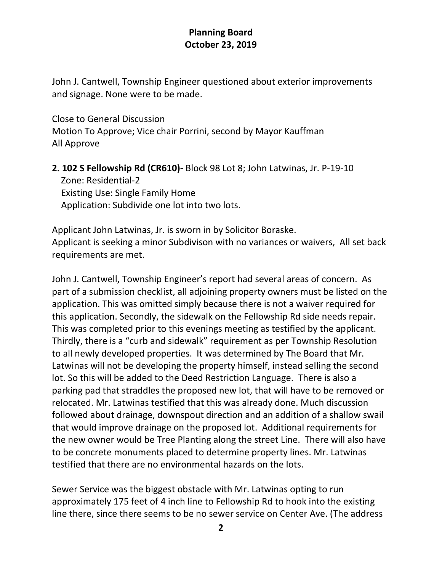John J. Cantwell, Township Engineer questioned about exterior improvements and signage. None were to be made.

Close to General Discussion Motion To Approve; Vice chair Porrini, second by Mayor Kauffman All Approve

### **2. 102 S Fellowship Rd (CR610)-** Block 98 Lot 8; John Latwinas, Jr. P-19-10

 Zone: Residential-2 Existing Use: Single Family Home Application: Subdivide one lot into two lots.

Applicant John Latwinas, Jr. is sworn in by Solicitor Boraske. Applicant is seeking a minor Subdivison with no variances or waivers, All set back requirements are met.

John J. Cantwell, Township Engineer's report had several areas of concern. As part of a submission checklist, all adjoining property owners must be listed on the application. This was omitted simply because there is not a waiver required for this application. Secondly, the sidewalk on the Fellowship Rd side needs repair. This was completed prior to this evenings meeting as testified by the applicant. Thirdly, there is a "curb and sidewalk" requirement as per Township Resolution to all newly developed properties. It was determined by The Board that Mr. Latwinas will not be developing the property himself, instead selling the second lot. So this will be added to the Deed Restriction Language. There is also a parking pad that straddles the proposed new lot, that will have to be removed or relocated. Mr. Latwinas testified that this was already done. Much discussion followed about drainage, downspout direction and an addition of a shallow swail that would improve drainage on the proposed lot. Additional requirements for the new owner would be Tree Planting along the street Line. There will also have to be concrete monuments placed to determine property lines. Mr. Latwinas testified that there are no environmental hazards on the lots.

Sewer Service was the biggest obstacle with Mr. Latwinas opting to run approximately 175 feet of 4 inch line to Fellowship Rd to hook into the existing line there, since there seems to be no sewer service on Center Ave. (The address